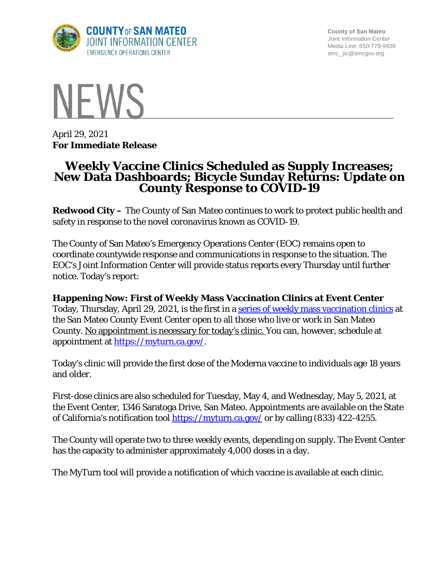

**County of San Mateo** Joint Information Center Media Line: 650-779-9939 smc\_ jic@smcgov.org



April 29, 2021 **For Immediate Release**

# **Weekly Vaccine Clinics Scheduled as Supply Increases; New Data Dashboards; Bicycle Sunday Returns: Update on County Response to COVID-19**

**Redwood City –** The County of San Mateo continues to work to protect public health and safety in response to the novel coronavirus known as COVID-19.

The County of San Mateo's Emergency Operations Center (EOC) remains open to coordinate countywide response and communications in response to the situation. The EOC's Joint Information Center will provide status reports every Thursday until further notice. Today's report:

# **Happening Now: First of Weekly Mass Vaccination Clinics at Event Center**

Today, Thursday, April 29, 2021, is the first in a series of weekly [mass vaccination](https://www.smcgov.org/press-release/vaccine-appointments-available-county%E2%80%99s-supply-increases) clinics at the San Mateo County Event Center open to all those who live or work in San Mateo County. No appointment is necessary for today's clinic. You can, however, schedule at appointment at [https://myturn.ca.gov/.](https://myturn.ca.gov/)

Today's clinic will provide the first dose of the Moderna vaccine to individuals age 18 years and older.

First-dose clinics are also scheduled for Tuesday, May 4, and Wednesday, May 5, 2021, at the Event Center, 1346 Saratoga Drive, San Mateo. Appointments are available on the State of California's notification tool<https://myturn.ca.gov/> or by calling (833) 422-4255.

The County will operate two to three weekly events, depending on supply. The Event Center has the capacity to administer approximately 4,000 doses in a day.

The MyTurn tool will provide a notification of which vaccine is available at each clinic.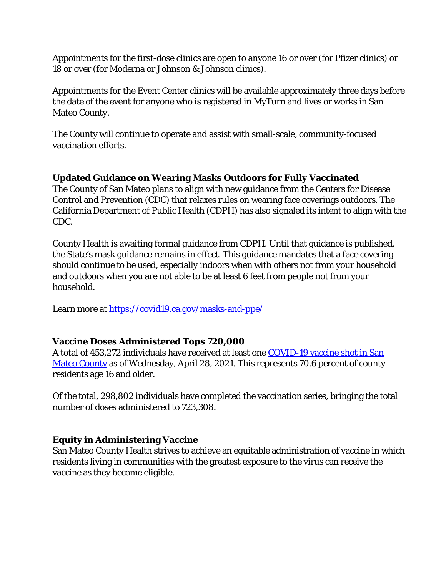Appointments for the first-dose clinics are open to anyone 16 or over (for Pfizer clinics) or 18 or over (for Moderna or Johnson & Johnson clinics).

Appointments for the Event Center clinics will be available approximately three days before the date of the event for anyone who is registered in MyTurn and lives or works in San Mateo County.

The County will continue to operate and assist with small-scale, community-focused vaccination efforts.

# **Updated Guidance on Wearing Masks Outdoors for Fully Vaccinated**

The County of San Mateo plans to align with new guidance from the Centers for Disease Control and Prevention (CDC) that relaxes rules on wearing face coverings outdoors. The California Department of Public Health (CDPH) has also signaled its intent to align with the CDC.

County Health is awaiting formal guidance from CDPH. Until that guidance is published, the State's mask guidance remains in effect. This guidance mandates that a face covering should continue to be used, especially indoors when with others not from your household and outdoors when you are not able to be at least 6 feet from people not from your household.

Learn more at<https://covid19.ca.gov/masks-and-ppe/>

### **Vaccine Doses Administered Tops 720,000**

A total of 453,272 individuals have received at least one [COVID-19 vaccine shot in San](https://www.smchealth.org/data-dashboard/vaccination-totals-locations-data)  [Mateo County](https://www.smchealth.org/data-dashboard/vaccination-totals-locations-data) as of Wednesday, April 28, 2021. This represents 70.6 percent of county residents age 16 and older.

Of the total, 298,802 individuals have completed the vaccination series, bringing the total number of doses administered to 723,308.

#### **Equity in Administering Vaccine**

San Mateo County Health strives to achieve an equitable administration of vaccine in which residents living in communities with the greatest exposure to the virus can receive the vaccine as they become eligible.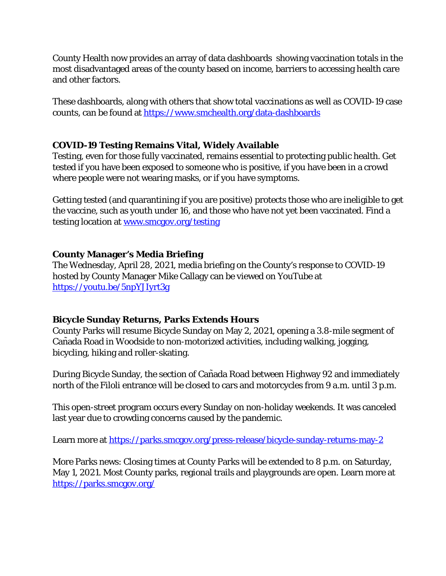County Health now provides an array of data dashboards showing vaccination totals in the most disadvantaged areas of the county based on income, barriers to accessing health care and other factors.

These dashboards, along with others that show total vaccinations as well as COVID-19 case counts, can be found at<https://www.smchealth.org/data-dashboards>

# **COVID-19 Testing Remains Vital, Widely Available**

Testing, even for those fully vaccinated, remains essential to protecting public health. Get tested if you have been exposed to someone who is positive, if you have been in a crowd where people were not wearing masks, or if you have symptoms.

Getting tested (and quarantining if you are positive) protects those who are ineligible to get the vaccine, such as youth under 16, and those who have not yet been vaccinated. Find a testing location at [www.smcgov.org/testing](http://www.smcgov.org/testing)

### **County Manager's Media Briefing**

The Wednesday, April 28, 2021, media briefing on the County's response to COVID-19 hosted by County Manager Mike Callagy can be viewed on YouTube at <https://youtu.be/5npYJIyrt3g>

### **Bicycle Sunday Returns, Parks Extends Hours**

County Parks will resume Bicycle Sunday on May 2, 2021, opening a 3.8-mile segment of Cañada Road in Woodside to non-motorized activities, including walking, jogging, bicycling, hiking and roller-skating.

During Bicycle Sunday, the section of Cañada Road between Highway 92 and immediately north of the Filoli entrance will be closed to cars and motorcycles from 9 a.m. until 3 p.m.

This open-street program occurs every Sunday on non-holiday weekends. It was canceled last year due to crowding concerns caused by the pandemic.

Learn more at<https://parks.smcgov.org/press-release/bicycle-sunday-returns-may-2>

More Parks news: Closing times at County Parks will be extended to 8 p.m. on Saturday, May 1, 2021. Most County parks, regional trails and playgrounds are open. Learn more at <https://parks.smcgov.org/>